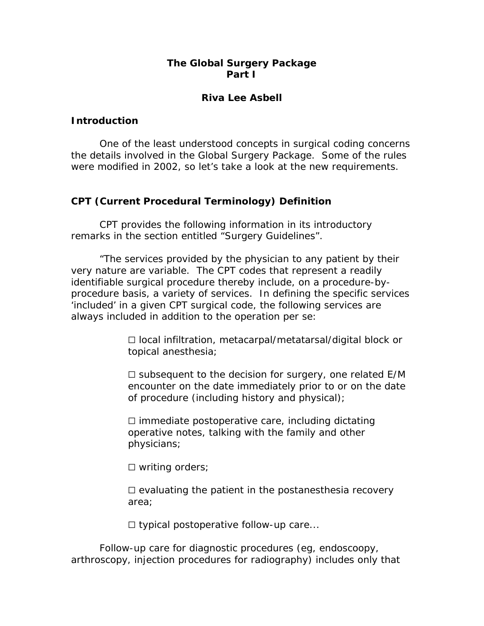# **The Global Surgery Package Part I**

# **Riva Lee Asbell**

### **Introduction**

 One of the least understood concepts in surgical coding concerns the details involved in the Global Surgery Package. Some of the rules were modified in 2002, so let's take a look at the new requirements.

## **CPT (Current Procedural Terminology) Definition**

CPT provides the following information in its introductory remarks in the section entitled "Surgery Guidelines".

 "The services provided by the physician to any patient by their very nature are variable. The CPT codes that represent a readily identifiable surgical procedure thereby include, on a procedure-byprocedure basis, a variety of services. In defining the specific services 'included' in a given CPT surgical code, the following services are always included in addition to the operation per se:

> □ local infiltration, metacarpal/metatarsal/digital block or topical anesthesia;

 $\Box$  subsequent to the decision for surgery, one related E/M encounter on the date immediately prior to or on the date of procedure (including history and physical);

 $\square$  immediate postoperative care, including dictating operative notes, talking with the family and other physicians;

 $\Box$  writing orders;

 $\Box$  evaluating the patient in the postanesthesia recovery area;

 $\Box$  typical postoperative follow-up care...

 Follow-up care for diagnostic procedures (eg, endoscoopy, arthroscopy, injection procedures for radiography) includes only that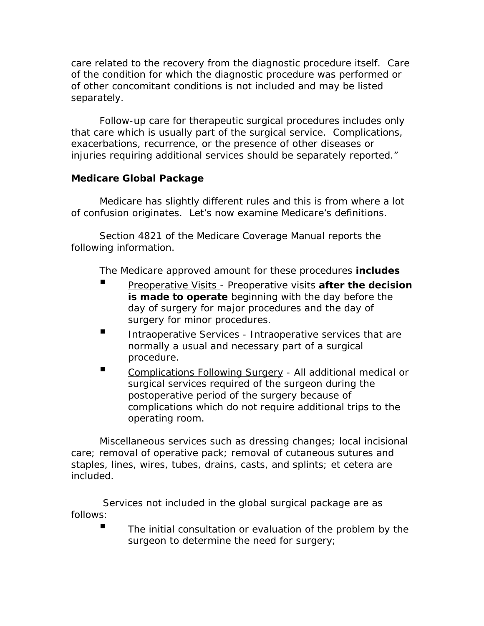care related to the recovery from the diagnostic procedure itself. Care of the condition for which the diagnostic procedure was performed or of other concomitant conditions is not included and may be listed separately.

 Follow-up care for therapeutic surgical procedures includes only that care which is usually part of the surgical service. Complications, exacerbations, recurrence, or the presence of other diseases or injuries requiring additional services should be separately reported."

# **Medicare Global Package**

Medicare has slightly different rules and this is from where a lot of confusion originates. Let's now examine Medicare's definitions.

 Section 4821 of the Medicare Coverage Manual reports the following information.

The Medicare approved amount for these procedures **includes**

- **Preoperative Visits Preoperative visits after the decision is made to operate** beginning with the day before the day of surgery for major procedures and the day of surgery for minor procedures.
- Intraoperative Services Intraoperative services that are normally a usual and necessary part of a surgical procedure.
- Complications Following Surgery All additional medical or surgical services required of the surgeon during the postoperative period of the surgery because of complications which do not require additional trips to the operating room.

 Miscellaneous services such as dressing changes; local incisional care; removal of operative pack; removal of cutaneous sutures and staples, lines, wires, tubes, drains, casts, and splints; et cetera are included.

 Services not included in the global surgical package are as follows:

The initial consultation or evaluation of the problem by the surgeon to determine the need for surgery;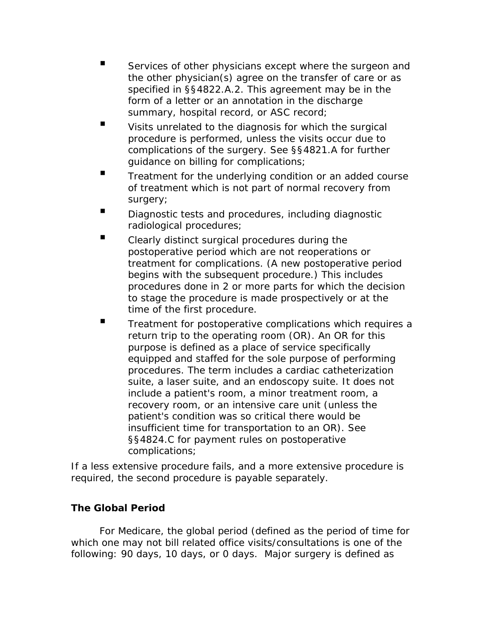- Services of other physicians except where the surgeon and the other physician(s) agree on the transfer of care or as specified in §§4822.A.2. This agreement may be in the form of a letter or an annotation in the discharge summary, hospital record, or ASC record;
- Visits unrelated to the diagnosis for which the surgical procedure is performed, unless the visits occur due to complications of the surgery. See §§4821.A for further guidance on billing for complications;
- Treatment for the underlying condition or an added course of treatment which is not part of normal recovery from surgery;
- **E** Diagnostic tests and procedures, including diagnostic radiological procedures;
- Clearly distinct surgical procedures during the postoperative period which are not reoperations or treatment for complications. (A new postoperative period begins with the subsequent procedure.) This includes procedures done in 2 or more parts for which the decision to stage the procedure is made prospectively or at the time of the first procedure.
- Treatment for postoperative complications which requires a return trip to the operating room (OR). An OR for this purpose is defined as a place of service specifically equipped and staffed for the sole purpose of performing procedures. The term includes a cardiac catheterization suite, a laser suite, and an endoscopy suite. It does not include a patient's room, a minor treatment room, a recovery room, or an intensive care unit (unless the patient's condition was so critical there would be insufficient time for transportation to an OR). See §§4824.C for payment rules on postoperative complications;

If a less extensive procedure fails, and a more extensive procedure is required, the second procedure is payable separately.

# **The Global Period**

For Medicare, the global period (defined as the period of time for which one may not bill related office visits/consultations is one of the following: 90 days, 10 days, or 0 days. Major surgery is defined as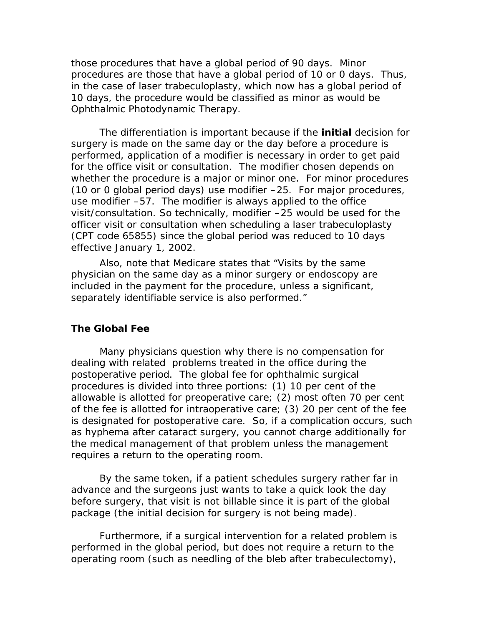those procedures that have a global period of 90 days. Minor procedures are those that have a global period of 10 or 0 days. Thus, in the case of laser trabeculoplasty, which now has a global period of 10 days, the procedure would be classified as minor as would be Ophthalmic Photodynamic Therapy.

 The differentiation is important because if the **initial** decision for surgery is made on the same day or the day before a procedure is performed, application of a modifier is necessary in order to get paid for the office visit or consultation. The modifier chosen depends on whether the procedure is a major or minor one. For minor procedures (10 or 0 global period days) use modifier –25. For major procedures, use modifier –57. The modifier is always applied to the office visit/consultation. So technically, modifier –25 would be used for the officer visit or consultation when scheduling a laser trabeculoplasty (CPT code 65855) since the global period was reduced to 10 days effective January 1, 2002.

 Also, note that Medicare states that "Visits by the same physician on the same day as a minor surgery or endoscopy are included in the payment for the procedure, unless a significant, separately identifiable service is also performed."

#### **The Global Fee**

 Many physicians question why there is no compensation for dealing with related problems treated in the office during the postoperative period. The global fee for ophthalmic surgical procedures is divided into three portions: (1) 10 per cent of the allowable is allotted for preoperative care; (2) most often 70 per cent of the fee is allotted for intraoperative care; (3) 20 per cent of the fee is designated for postoperative care. So, if a complication occurs, such as hyphema after cataract surgery, you cannot charge additionally for the medical management of that problem unless the management requires a return to the operating room.

 By the same token, if a patient schedules surgery rather far in advance and the surgeons just wants to take a quick look the day before surgery, that visit is not billable since it is part of the global package (the *initial* decision for surgery is not being made).

 Furthermore, if a surgical intervention for a related problem is performed in the global period, but does not require a return to the operating room (such as needling of the bleb after trabeculectomy),